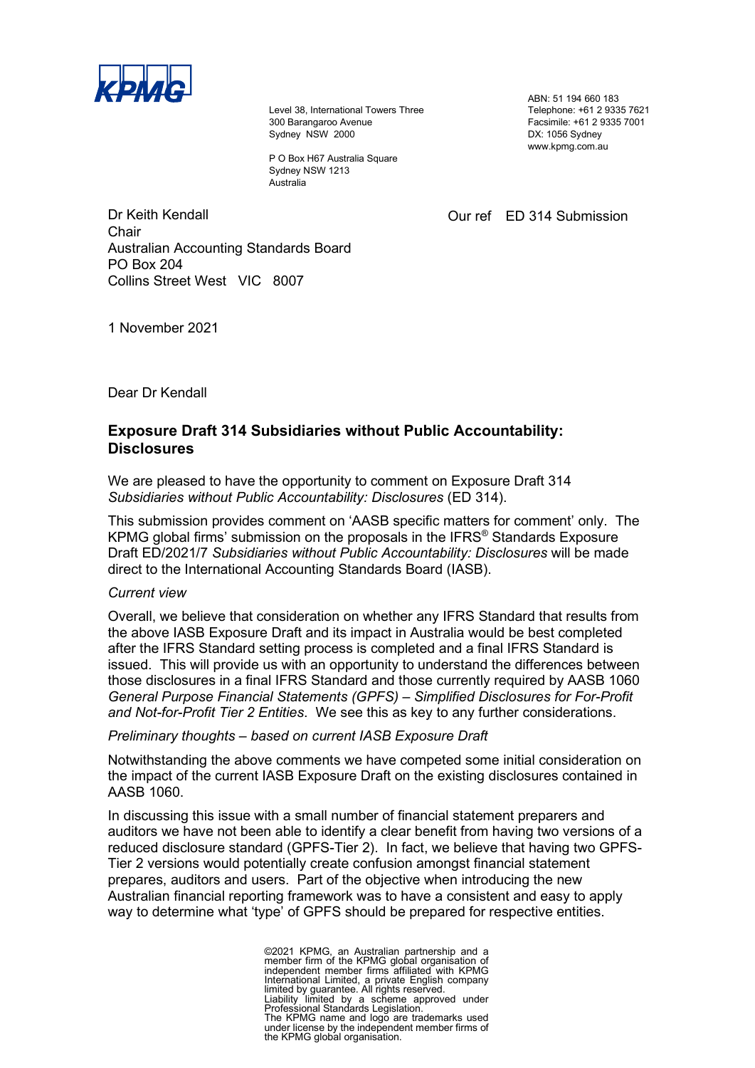

Level 38, International Towers Three 300 Barangaroo Avenue Sydney NSW 2000

P O Box H67 Australia Square Sydney NSW 1213 Australia

ABN: 51 194 660 183 Telephone: +61 2 9335 7621 Facsimile: +61 2 9335 7001 DX: 1056 Sydney www.kpmg.com.au

Our ref ED 314 Submission

Dr Keith Kendall **Chair** Australian Accounting Standards Board PO Box 204 Collins Street West VIC 8007

1 November 2021

Dear Dr Kendall

## **Exposure Draft 314 Subsidiaries without Public Accountability: Disclosures**

We are pleased to have the opportunity to comment on Exposure Draft 314 *Subsidiaries without Public Accountability: Disclosures* (ED 314).

This submission provides comment on 'AASB specific matters for comment' only. The KPMG global firms' submission on the proposals in the IFRS® Standards Exposure  Draft ED/2021/7 *Subsidiaries without Public Accountability: Disclosures* will be made direct to the International Accounting Standards Board (IASB).

## *Current view*

Overall, we believe that consideration on whether any IFRS Standard that results from the above IASB Exposure Draft and its impact in Australia would be best completed  after the IFRS Standard setting process is completed and a final IFRS Standard is issued. This will provide us with an opportunity to understand the differences between those disclosures in a final IFRS Standard and those currently required by AASB 1060 *General Purpose Financial Statements (GPFS) – Simplified Disclosures for For-Profit and Not-for-Profit Tier 2 Entities*. We see this as key to any further considerations.

*Preliminary thoughts – based on current IASB Exposure Draft*

Notwithstanding the above comments we have competed some initial consideration on the impact of the current IASB Exposure Draft on the existing disclosures contained in AASB 1060.

In discussing this issue with a small number of financial statement preparers and auditors we have not been able to identify a clear benefit from having two versions of a reduced disclosure standard (GPFS-Tier 2). In fact, we believe that having two GPFS-Tier 2 versions would potentially create confusion amongst financial statement prepares, auditors and users. Part of the objective when introducing the new Australian financial reporting framework was to have a consistent and easy to apply way to determine what 'type' of GPFS should be prepared for respective entities.

> ©2021 KPMG, an Australian partnership and a<br>member firm of the KPMG global organisation of<br>independent member firms affiliated with KPMG<br>International Limited, a private English company<br>limited by guarantee. All rights res The KPMG name and logo are trademarks used under license by the independent member firms of the KPMG global organisation.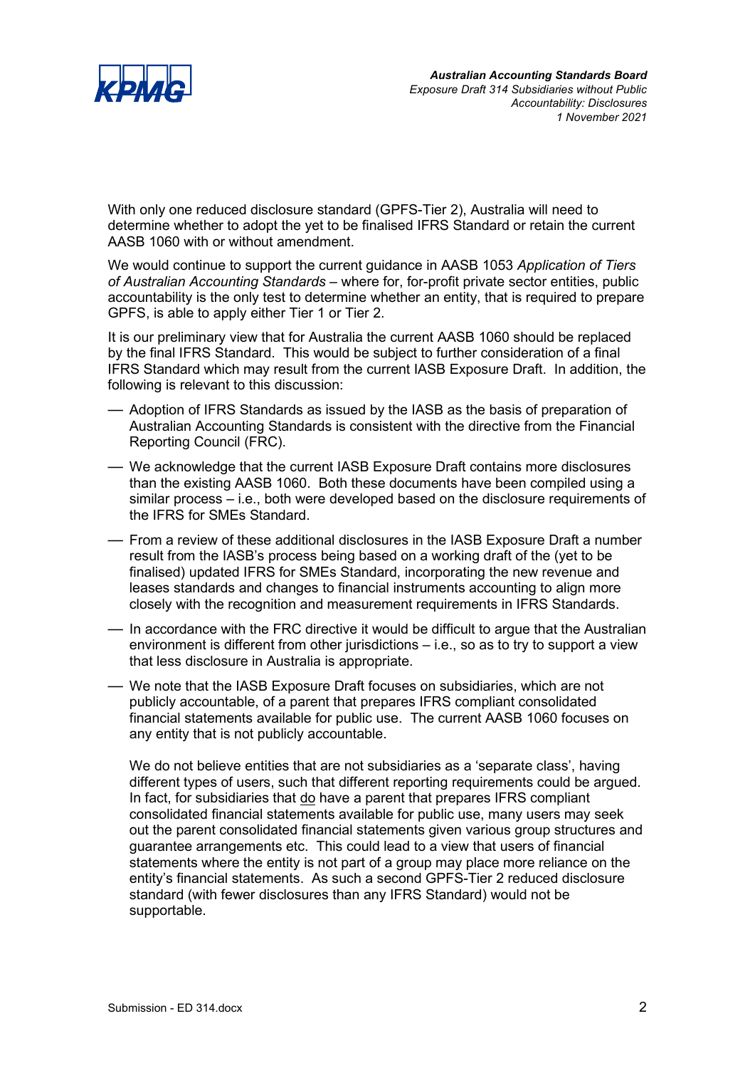

With only one reduced disclosure standard (GPFS-Tier 2), Australia will need to determine whether to adopt the yet to be finalised IFRS Standard or retain the current AASB 1060 with or without amendment.

We would continue to support the current guidance in AASB 1053 *Application of Tiers of Australian Accounting Standards* – where for, for-profit private sector entities, public accountability is the only test to determine whether an entity, that is required to prepare GPFS, is able to apply either Tier 1 or Tier 2.

It is our preliminary view that for Australia the current AASB 1060 should be replaced by the final IFRS Standard. This would be subject to further consideration of a final IFRS Standard which may result from the current IASB Exposure Draft. In addition, the following is relevant to this discussion:

- Adoption of IFRS Standards as issued by the IASB as the basis of preparation of Australian Accounting Standards is consistent with the directive from the Financial Reporting Council (FRC).
- We acknowledge that the current IASB Exposure Draft contains more disclosures than the existing AASB 1060. Both these documents have been compiled using a similar process – i.e., both were developed based on the disclosure requirements of the IFRS for SMEs Standard.
- From a review of these additional disclosures in the IASB Exposure Draft a number result from the IASB's process being based on a working draft of the (yet to be finalised) updated IFRS for SMEs Standard, incorporating the new revenue and leases standards and changes to financial instruments accounting to align more closely with the recognition and measurement requirements in IFRS Standards.
- In accordance with the FRC directive it would be difficult to argue that the Australian environment is different from other jurisdictions – i.e., so as to try to support a view that less disclosure in Australia is appropriate.
- We note that the IASB Exposure Draft focuses on subsidiaries, which are not publicly accountable, of a parent that prepares IFRS compliant consolidated financial statements available for public use. The current AASB 1060 focuses on any entity that is not publicly accountable.

We do not believe entities that are not subsidiaries as a 'separate class', having different types of users, such that different reporting requirements could be argued. In fact, for subsidiaries that do have a parent that prepares IFRS compliant consolidated financial statements available for public use, many users may seek out the parent consolidated financial statements given various group structures and guarantee arrangements etc. This could lead to a view that users of financial statements where the entity is not part of a group may place more reliance on the entity's financial statements. As such a second GPFS-Tier 2 reduced disclosure standard (with fewer disclosures than any IFRS Standard) would not be supportable.